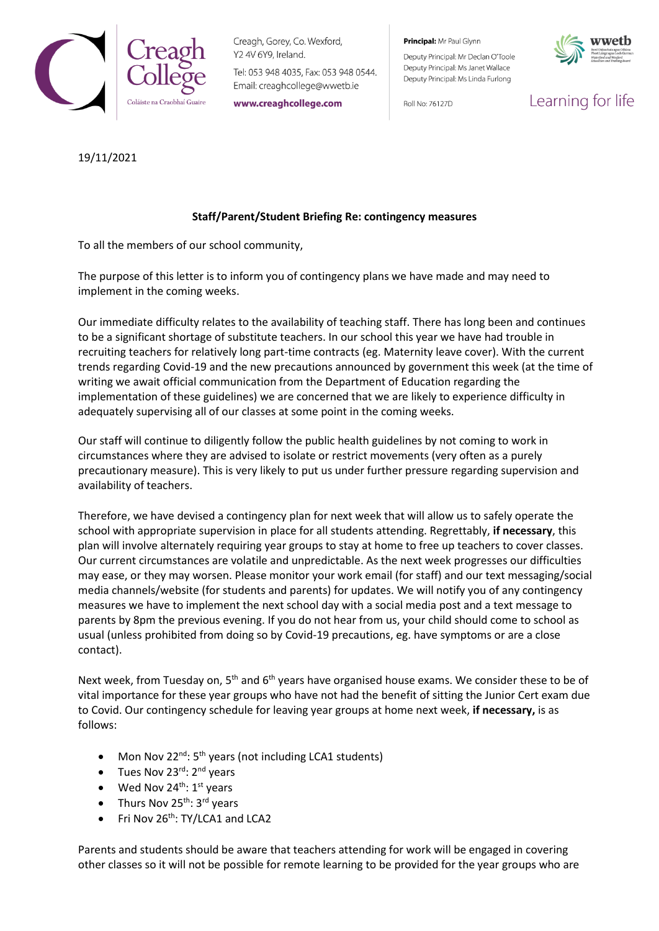

Creagh, Gorey, Co. Wexford, Y2 4V 6Y9, Ireland.

Tel: 053 948 4035, Fax: 053 948 0544. Email: creaghcollege@wwetb.ie

www.creaghcollege.com

Principal: Mr Paul Glynn

Deputy Principal: Mr Declan O'Toole Deputy Principal: Ms Janet Wallace Deputy Principal: Ms Linda Furlong

Roll No: 76127D



Learning for life

## 19/11/2021

## **Staff/Parent/Student Briefing Re: contingency measures**

To all the members of our school community,

The purpose of this letter is to inform you of contingency plans we have made and may need to implement in the coming weeks.

Our immediate difficulty relates to the availability of teaching staff. There has long been and continues to be a significant shortage of substitute teachers. In our school this year we have had trouble in recruiting teachers for relatively long part-time contracts (eg. Maternity leave cover). With the current trends regarding Covid-19 and the new precautions announced by government this week (at the time of writing we await official communication from the Department of Education regarding the implementation of these guidelines) we are concerned that we are likely to experience difficulty in adequately supervising all of our classes at some point in the coming weeks.

Our staff will continue to diligently follow the public health guidelines by not coming to work in circumstances where they are advised to isolate or restrict movements (very often as a purely precautionary measure). This is very likely to put us under further pressure regarding supervision and availability of teachers.

Therefore, we have devised a contingency plan for next week that will allow us to safely operate the school with appropriate supervision in place for all students attending. Regrettably, **if necessary**, this plan will involve alternately requiring year groups to stay at home to free up teachers to cover classes. Our current circumstances are volatile and unpredictable. As the next week progresses our difficulties may ease, or they may worsen. Please monitor your work email (for staff) and our text messaging/social media channels/website (for students and parents) for updates. We will notify you of any contingency measures we have to implement the next school day with a social media post and a text message to parents by 8pm the previous evening. If you do not hear from us, your child should come to school as usual (unless prohibited from doing so by Covid-19 precautions, eg. have symptoms or are a close contact).

Next week, from Tuesday on, 5<sup>th</sup> and 6<sup>th</sup> years have organised house exams. We consider these to be of vital importance for these year groups who have not had the benefit of sitting the Junior Cert exam due to Covid. Our contingency schedule for leaving year groups at home next week, **if necessary,** is as follows:

- Mon Nov 22<sup>nd</sup>: 5<sup>th</sup> years (not including LCA1 students)
- Tues Nov 23<sup>rd</sup>: 2<sup>nd</sup> years
- Wed Nov  $24^{\text{th}}$ :  $1^{\text{st}}$  years
- Thurs Nov 25<sup>th</sup>: 3<sup>rd</sup> years
- Fri Nov 26<sup>th</sup>: TY/LCA1 and LCA2

Parents and students should be aware that teachers attending for work will be engaged in covering other classes so it will not be possible for remote learning to be provided for the year groups who are